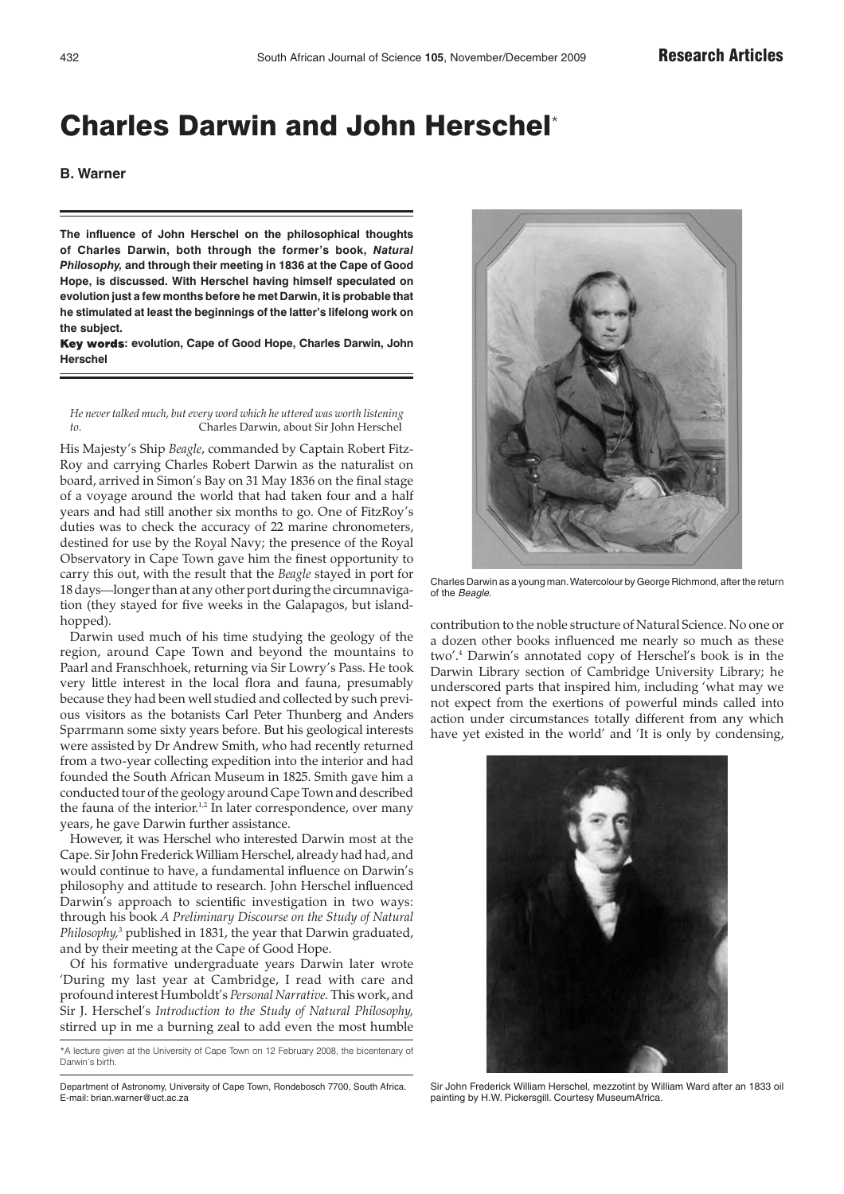## Charles Darwin and John Herschel\*

## **B. Warner**

**The influence of John Herschel on the philosophical thoughts of Charles Darwin, both through the former's book,** *Natural Philosophy,* **and through their meeting in 1836 at the Cape of Good Hope, is discussed. With Herschel having himself speculated on evolution just a few months before he met Darwin, it is probable that he stimulated at least the beginnings of the latter's lifelong work on the subject.**

Key words: evolution, Cape of Good Hope, Charles Darwin, John **Herschel**

*He never talked much, but every word which he uttered was worth listening to*. Charles Darwin, about Sir John Herschel

His Majesty's Ship *Beagle*, commanded by Captain Robert Fitz-Roy and carrying Charles Robert Darwin as the naturalist on board, arrived in Simon's Bay on 31 May 1836 on the final stage of a voyage around the world that had taken four and a half years and had still another six months to go. One of FitzRoy's duties was to check the accuracy of 22 marine chronometers, destined for use by the Royal Navy; the presence of the Royal Observatory in Cape Town gave him the finest opportunity to carry this out, with the result that the *Beagle* stayed in port for 18 days—longer than at any other port during the circumnavigation (they stayed for five weeks in the Galapagos, but islandhopped).

Darwin used much of his time studying the geology of the region, around Cape Town and beyond the mountains to Paarl and Franschhoek, returning via Sir Lowry's Pass. He took very little interest in the local flora and fauna, presumably because they had been well studied and collected by such previous visitors as the botanists Carl Peter Thunberg and Anders Sparrmann some sixty years before. But his geological interests were assisted by Dr Andrew Smith, who had recently returned from a two-year collecting expedition into the interior and had founded the South African Museum in 1825. Smith gave him a conducted tour of the geology around Cape Town and described the fauna of the interior.<sup>1,2</sup> In later correspondence, over many years, he gave Darwin further assistance.

However, it was Herschel who interested Darwin most at the Cape. Sir John Frederick William Herschel, already had had, and would continue to have, a fundamental influence on Darwin's philosophy and attitude to research. John Herschel influenced Darwin's approach to scientific investigation in two ways: through his book *A Preliminary Discourse on the Study of Natural Philosophy,*<sup>3</sup> published in 1831, the year that Darwin graduated, and by their meeting at the Cape of Good Hope.

Of his formative undergraduate years Darwin later wrote 'During my last year at Cambridge, I read with care and profound interest Humboldt's *Personal Narrative.* This work, and Sir J. Herschel's *Introduction to the Study of Natural Philosophy,* stirred up in me a burning zeal to add even the most humble

\*A lecture given at the University of Cape Town on 12 February 2008, the bicentenary of Darwin's birth.



Charles Darwin as a young man.Watercolour by George Richmond, after the return of the Beagle.

contribution to the noble structure of Natural Science. No one or a dozen other books influenced me nearly so much as these two'.4 Darwin's annotated copy of Herschel's book is in the Darwin Library section of Cambridge University Library; he underscored parts that inspired him, including 'what may we not expect from the exertions of powerful minds called into action under circumstances totally different from any which have yet existed in the world' and 'It is only by condensing,



Sir John Frederick William Herschel, mezzotint by William Ward after an 1833 oil painting by H.W. Pickersgill. Courtesy MuseumAfrica.

Department of Astronomy, University of Cape Town, Rondebosch 7700, South Africa. E-mail: brian.warner@uct.ac.za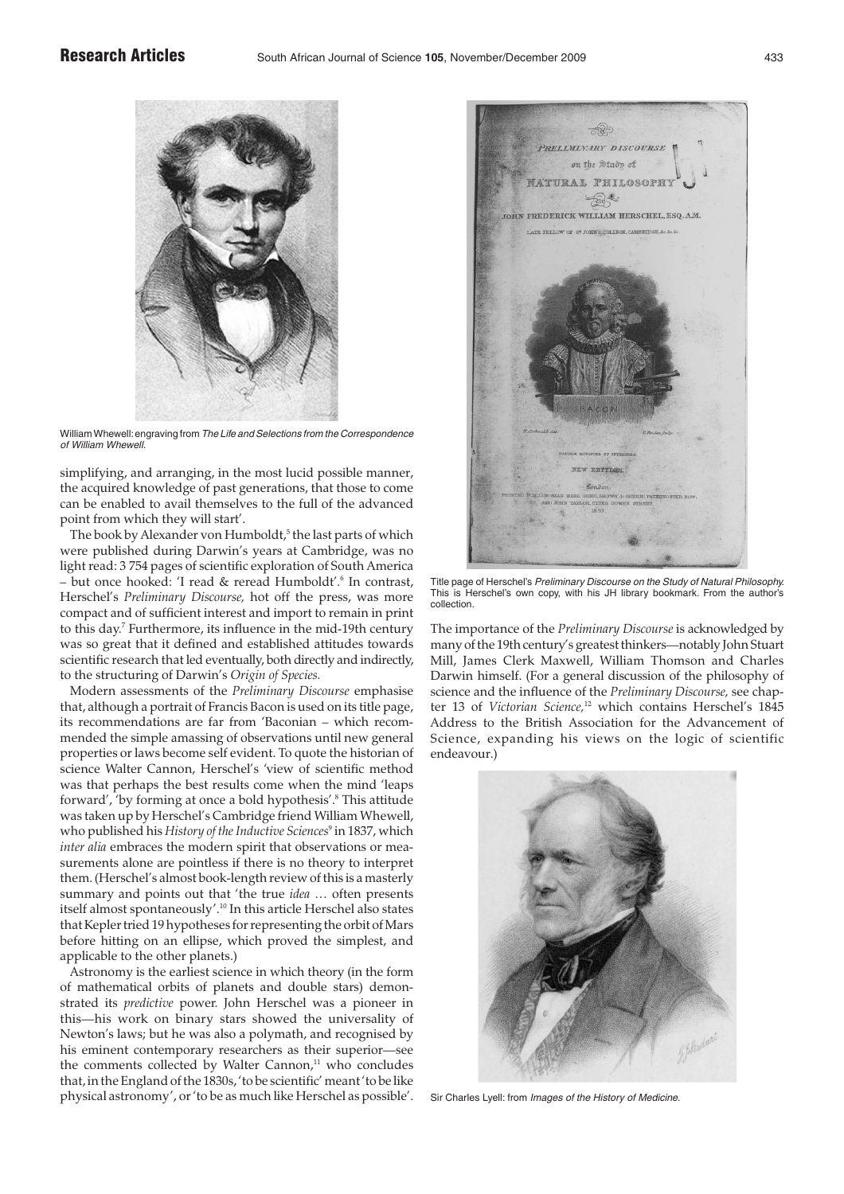

William Whewell: engraving from The Life and Selections from the Correspondence of William Whewell.

simplifying, and arranging, in the most lucid possible manner, the acquired knowledge of past generations, that those to come can be enabled to avail themselves to the full of the advanced point from which they will start'.

The book by Alexander von Humboldt,<sup>5</sup> the last parts of which were published during Darwin's years at Cambridge, was no light read: 3 754 pages of scientific exploration of South America – but once hooked: 'I read & reread Humboldt'.6 In contrast, Herschel's *Preliminary Discourse,* hot off the press, was more compact and of sufficient interest and import to remain in print to this day.7 Furthermore, its influence in the mid-19th century was so great that it defined and established attitudes towards scientific research that led eventually, both directly and indirectly, to the structuring of Darwin's *Origin of Species.*

Modern assessments of the *Preliminary Discourse* emphasise that, although a portrait of Francis Bacon is used on its title page, its recommendations are far from 'Baconian – which recommended the simple amassing of observations until new general properties or laws become self evident. To quote the historian of science Walter Cannon, Herschel's 'view of scientific method was that perhaps the best results come when the mind 'leaps forward', 'by forming at once a bold hypothesis'.8 This attitude was taken up by Herschel's Cambridge friend William Whewell, who published his *History of the Inductive Sciences<sup>9</sup>* in 1837, which *inter alia* embraces the modern spirit that observations or measurements alone are pointless if there is no theory to interpret them. (Herschel's almost book-length review of this is a masterly summary and points out that 'the true *idea* … often presents itself almost spontaneously'.10 In this article Herschel also states that Kepler tried 19 hypotheses for representing the orbit of Mars before hitting on an ellipse, which proved the simplest, and applicable to the other planets.)

Astronomy is the earliest science in which theory (in the form of mathematical orbits of planets and double stars) demonstrated its *predictive* power. John Herschel was a pioneer in this—his work on binary stars showed the universality of Newton's laws; but he was also a polymath, and recognised by his eminent contemporary researchers as their superior—see the comments collected by Walter Cannon,<sup>11</sup> who concludes that, in the England of the 1830s, 'to be scientific' meant 'to be like physical astronomy', or 'to be as much like Herschel as possible'.



Title page of Herschel's Preliminary Discourse on the Study of Natural Philosophy. This is Herschel's own copy, with his JH library bookmark. From the author's collection.

The importance of the *Preliminary Discourse* is acknowledged by many of the 19th century's greatest thinkers—notably John Stuart Mill, James Clerk Maxwell, William Thomson and Charles Darwin himself. (For a general discussion of the philosophy of science and the influence of the *Preliminary Discourse,* see chapter 13 of *Victorian Science*,<sup>12</sup> which contains Herschel's 1845 Address to the British Association for the Advancement of Science, expanding his views on the logic of scientific endeavour.)



Sir Charles Lyell: from Images of the History of Medicine.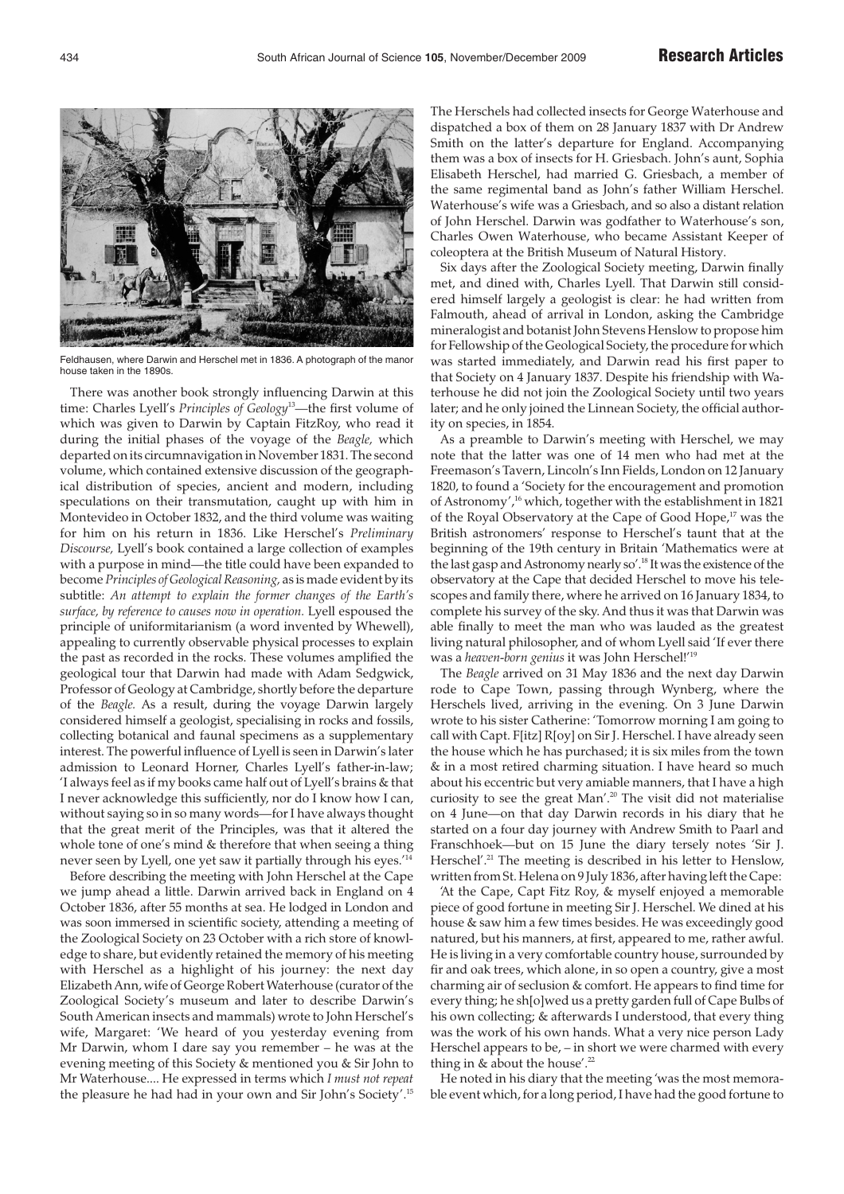

Feldhausen, where Darwin and Herschel met in 1836. A photograph of the manor house taken in the 1890s.

There was another book strongly influencing Darwin at this time: Charles Lyell's *Principles of Geology*13—the first volume of which was given to Darwin by Captain FitzRoy, who read it during the initial phases of the voyage of the *Beagle,* which departed on its circumnavigation in November 1831. The second volume, which contained extensive discussion of the geographical distribution of species, ancient and modern, including speculations on their transmutation, caught up with him in Montevideo in October 1832, and the third volume was waiting for him on his return in 1836. Like Herschel's *Preliminary Discourse,* Lyell's book contained a large collection of examples with a purpose in mind—the title could have been expanded to become *Principles of Geological Reasoning,* as is made evident by its subtitle: *An attempt to explain the former changes of the Earth's surface, by reference to causes now in operation.* Lyell espoused the principle of uniformitarianism (a word invented by Whewell), appealing to currently observable physical processes to explain the past as recorded in the rocks. These volumes amplified the geological tour that Darwin had made with Adam Sedgwick, Professor of Geology at Cambridge, shortly before the departure of the *Beagle.* As a result, during the voyage Darwin largely considered himself a geologist, specialising in rocks and fossils, collecting botanical and faunal specimens as a supplementary interest. The powerful influence of Lyell is seen in Darwin's later admission to Leonard Horner, Charles Lyell's father-in-law; 'I always feel as if my books came half out of Lyell's brains & that I never acknowledge this sufficiently, nor do I know how I can, without saying so in so many words—for I have always thought that the great merit of the Principles, was that it altered the whole tone of one's mind & therefore that when seeing a thing never seen by Lyell, one yet saw it partially through his eyes.<sup>'14</sup>

Before describing the meeting with John Herschel at the Cape we jump ahead a little. Darwin arrived back in England on 4 October 1836, after 55 months at sea. He lodged in London and was soon immersed in scientific society, attending a meeting of the Zoological Society on 23 October with a rich store of knowledge to share, but evidently retained the memory of his meeting with Herschel as a highlight of his journey: the next day Elizabeth Ann, wife of George Robert Waterhouse (curator of the Zoological Society's museum and later to describe Darwin's South American insects and mammals) wrote to John Herschel's wife, Margaret: 'We heard of you yesterday evening from Mr Darwin, whom I dare say you remember – he was at the evening meeting of this Society & mentioned you & Sir John to Mr Waterhouse.... He expressed in terms which *I must not repeat* the pleasure he had had in your own and Sir John's Society'.15 The Herschels had collected insects for George Waterhouse and dispatched a box of them on 28 January 1837 with Dr Andrew Smith on the latter's departure for England. Accompanying them was a box of insects for H. Griesbach. John's aunt, Sophia Elisabeth Herschel, had married G. Griesbach, a member of the same regimental band as John's father William Herschel. Waterhouse's wife was a Griesbach, and so also a distant relation of John Herschel. Darwin was godfather to Waterhouse's son, Charles Owen Waterhouse, who became Assistant Keeper of coleoptera at the British Museum of Natural History.

Six days after the Zoological Society meeting, Darwin finally met, and dined with, Charles Lyell. That Darwin still considered himself largely a geologist is clear: he had written from Falmouth, ahead of arrival in London, asking the Cambridge mineralogist and botanist John Stevens Henslow to propose him for Fellowship of the Geological Society, the procedure for which was started immediately, and Darwin read his first paper to that Society on 4 January 1837. Despite his friendship with Waterhouse he did not join the Zoological Society until two years later; and he only joined the Linnean Society, the official authority on species, in 1854.

As a preamble to Darwin's meeting with Herschel, we may note that the latter was one of 14 men who had met at the Freemason's Tavern, Lincoln's Inn Fields, London on 12 January 1820, to found a 'Society for the encouragement and promotion of Astronomy',<sup>16</sup> which, together with the establishment in 1821 of the Royal Observatory at the Cape of Good Hope,<sup>17</sup> was the British astronomers' response to Herschel's taunt that at the beginning of the 19th century in Britain 'Mathematics were at the last gasp and Astronomy nearly so'.<sup>18</sup> It was the existence of the observatory at the Cape that decided Herschel to move his telescopes and family there, where he arrived on 16 January 1834, to complete his survey of the sky. And thus it was that Darwin was able finally to meet the man who was lauded as the greatest living natural philosopher, and of whom Lyell said 'If ever there was a *heaven-born genius* it was John Herschel!'19

The *Beagle* arrived on 31 May 1836 and the next day Darwin rode to Cape Town, passing through Wynberg, where the Herschels lived, arriving in the evening. On 3 June Darwin wrote to his sister Catherine: 'Tomorrow morning I am going to call with Capt. F[itz] R[oy] on Sir J. Herschel. I have already seen the house which he has purchased; it is six miles from the town & in a most retired charming situation. I have heard so much about his eccentric but very amiable manners, that I have a high curiosity to see the great Man'.<sup>20</sup> The visit did not materialise on 4 June—on that day Darwin records in his diary that he started on a four day journey with Andrew Smith to Paarl and Franschhoek—but on 15 June the diary tersely notes 'Sir J. Herschel'.<sup>21</sup> The meeting is described in his letter to Henslow, written from St. Helena on 9 July 1836, after having left the Cape:

'At the Cape, Capt Fitz Roy, & myself enjoyed a memorable piece of good fortune in meeting Sir J. Herschel. We dined at his house & saw him a few times besides. He was exceedingly good natured, but his manners, at first, appeared to me, rather awful. He is living in a very comfortable country house, surrounded by fir and oak trees, which alone, in so open a country, give a most charming air of seclusion & comfort. He appears to find time for every thing; he sh[o]wed us a pretty garden full of Cape Bulbs of his own collecting; & afterwards I understood, that every thing was the work of his own hands. What a very nice person Lady Herschel appears to be, – in short we were charmed with every thing in  $&$  about the house'.<sup>22</sup>

He noted in his diary that the meeting 'was the most memorable event which, for a long period, I have had the good fortune to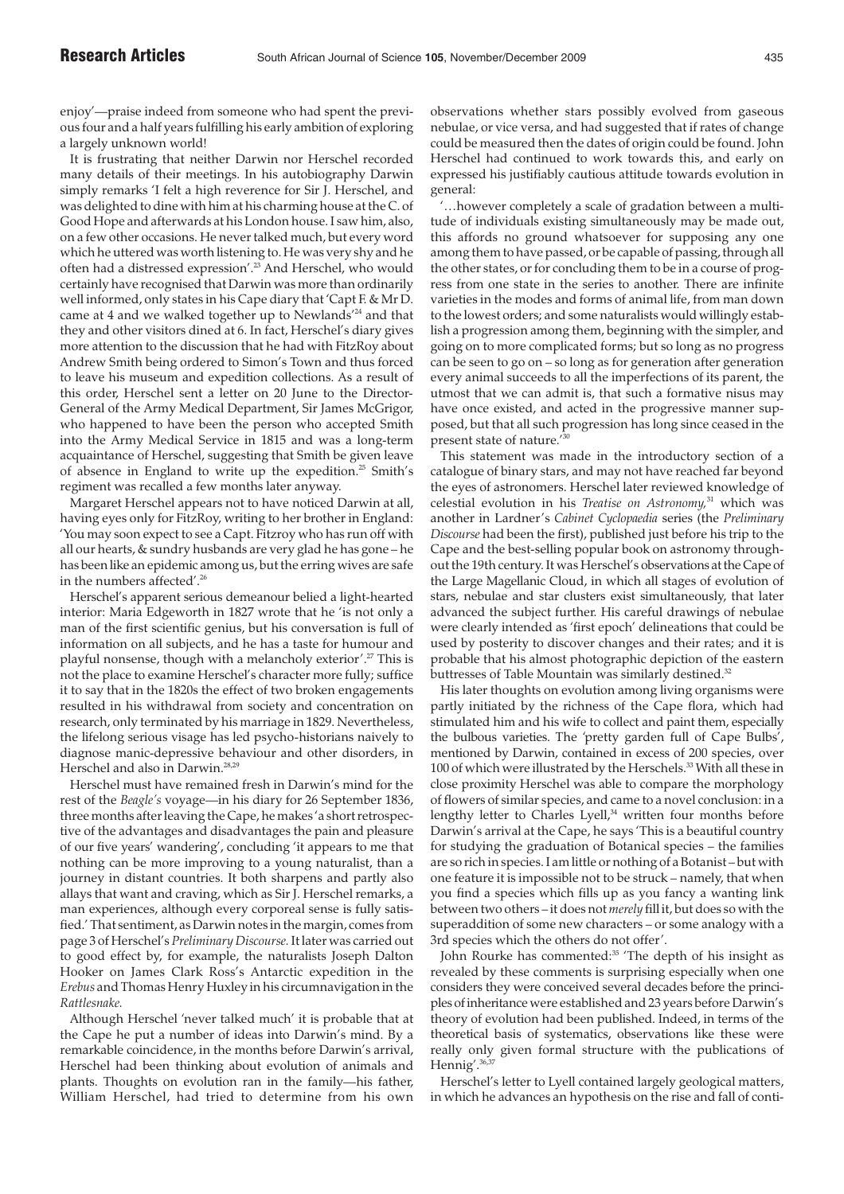enjoy'—praise indeed from someone who had spent the previous four and a half years fulfilling his early ambition of exploring a largely unknown world!

It is frustrating that neither Darwin nor Herschel recorded many details of their meetings. In his autobiography Darwin simply remarks 'I felt a high reverence for Sir J. Herschel, and was delighted to dine with him at his charming house at the C. of Good Hope and afterwards at his London house. I saw him, also, on a few other occasions. He never talked much, but every word which he uttered was worth listening to. He was very shy and he often had a distressed expression'.23 And Herschel, who would certainly have recognised that Darwin was more than ordinarily well informed, only states in his Cape diary that 'Capt F. & Mr D. came at 4 and we walked together up to Newlands<sup>'24</sup> and that they and other visitors dined at 6. In fact, Herschel's diary gives more attention to the discussion that he had with FitzRoy about Andrew Smith being ordered to Simon's Town and thus forced to leave his museum and expedition collections. As a result of this order, Herschel sent a letter on 20 June to the Director-General of the Army Medical Department, Sir James McGrigor, who happened to have been the person who accepted Smith into the Army Medical Service in 1815 and was a long-term acquaintance of Herschel, suggesting that Smith be given leave of absence in England to write up the expedition.<sup>25</sup> Smith's regiment was recalled a few months later anyway.

Margaret Herschel appears not to have noticed Darwin at all, having eyes only for FitzRoy, writing to her brother in England: 'You may soon expect to see a Capt. Fitzroy who has run off with all our hearts, & sundry husbands are very glad he has gone – he has been like an epidemic among us, but the erring wives are safe in the numbers affected'.<sup>26</sup>

Herschel's apparent serious demeanour belied a light-hearted interior: Maria Edgeworth in 1827 wrote that he 'is not only a man of the first scientific genius, but his conversation is full of information on all subjects, and he has a taste for humour and playful nonsense, though with a melancholy exterior'.<sup>27</sup> This is not the place to examine Herschel's character more fully; suffice it to say that in the 1820s the effect of two broken engagements resulted in his withdrawal from society and concentration on research, only terminated by his marriage in 1829. Nevertheless, the lifelong serious visage has led psycho-historians naively to diagnose manic-depressive behaviour and other disorders, in Herschel and also in Darwin.<sup>28,29</sup>

Herschel must have remained fresh in Darwin's mind for the rest of the *Beagle's* voyage—in his diary for 26 September 1836, three months after leaving the Cape, he makes 'a short retrospective of the advantages and disadvantages the pain and pleasure of our five years' wandering', concluding 'it appears to me that nothing can be more improving to a young naturalist, than a journey in distant countries. It both sharpens and partly also allays that want and craving, which as Sir J. Herschel remarks, a man experiences, although every corporeal sense is fully satisfied.' That sentiment, as Darwin notes in the margin, comes from page 3 of Herschel's *Preliminary Discourse.*It later was carried out to good effect by, for example, the naturalists Joseph Dalton Hooker on James Clark Ross's Antarctic expedition in the *Erebus* and Thomas Henry Huxley in his circumnavigation in the *Rattlesnake.*

Although Herschel 'never talked much' it is probable that at the Cape he put a number of ideas into Darwin's mind. By a remarkable coincidence, in the months before Darwin's arrival, Herschel had been thinking about evolution of animals and plants. Thoughts on evolution ran in the family—his father, William Herschel, had tried to determine from his own

observations whether stars possibly evolved from gaseous nebulae, or vice versa, and had suggested that if rates of change could be measured then the dates of origin could be found. John Herschel had continued to work towards this, and early on expressed his justifiably cautious attitude towards evolution in general:

'…however completely a scale of gradation between a multitude of individuals existing simultaneously may be made out, this affords no ground whatsoever for supposing any one among them to have passed, or be capable of passing, through all the other states, or for concluding them to be in a course of progress from one state in the series to another. There are infinite varieties in the modes and forms of animal life, from man down to the lowest orders; and some naturalists would willingly establish a progression among them, beginning with the simpler, and going on to more complicated forms; but so long as no progress can be seen to go on – so long as for generation after generation every animal succeeds to all the imperfections of its parent, the utmost that we can admit is, that such a formative nisus may have once existed, and acted in the progressive manner supposed, but that all such progression has long since ceased in the present state of nature.<sup>'30</sup>

This statement was made in the introductory section of a catalogue of binary stars, and may not have reached far beyond the eyes of astronomers. Herschel later reviewed knowledge of celestial evolution in his *Treatise on Astronomy*,<sup>31</sup> which was another in Lardner's *Cabinet Cyclopaedia* series (the *Preliminary Discourse* had been the first), published just before his trip to the Cape and the best-selling popular book on astronomy throughout the 19th century. It was Herschel's observations at the Cape of the Large Magellanic Cloud, in which all stages of evolution of stars, nebulae and star clusters exist simultaneously, that later advanced the subject further. His careful drawings of nebulae were clearly intended as 'first epoch' delineations that could be used by posterity to discover changes and their rates; and it is probable that his almost photographic depiction of the eastern buttresses of Table Mountain was similarly destined.<sup>32</sup>

His later thoughts on evolution among living organisms were partly initiated by the richness of the Cape flora, which had stimulated him and his wife to collect and paint them, especially the bulbous varieties. The 'pretty garden full of Cape Bulbs', mentioned by Darwin, contained in excess of 200 species, over 100 of which were illustrated by the Herschels.<sup>33</sup> With all these in close proximity Herschel was able to compare the morphology of flowers of similar species, and came to a novel conclusion: in a lengthy letter to Charles Lyell,<sup>34</sup> written four months before Darwin's arrival at the Cape, he says 'This is a beautiful country for studying the graduation of Botanical species – the families are so rich in species. I am little or nothing of a Botanist – but with one feature it is impossible not to be struck – namely, that when you find a species which fills up as you fancy a wanting link between two others – it does not *merely* fill it, but does so with the superaddition of some new characters – or some analogy with a 3rd species which the others do not offer'.

John Rourke has commented:<sup>35</sup> 'The depth of his insight as revealed by these comments is surprising especially when one considers they were conceived several decades before the principles of inheritance were established and 23 years before Darwin's theory of evolution had been published. Indeed, in terms of the theoretical basis of systematics, observations like these were really only given formal structure with the publications of Hennig'.<sup>36,37</sup>

Herschel's letter to Lyell contained largely geological matters, in which he advances an hypothesis on the rise and fall of conti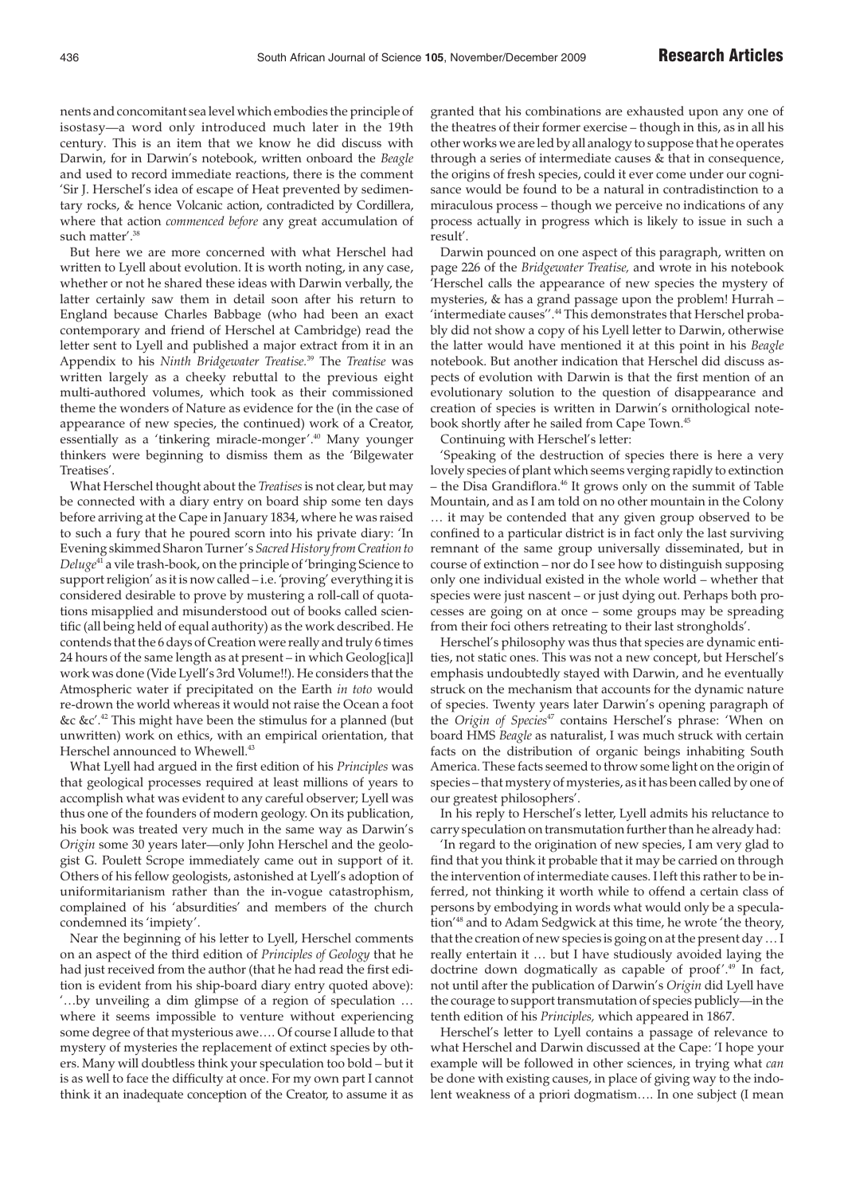nents and concomitant sea level which embodies the principle of isostasy—a word only introduced much later in the 19th century. This is an item that we know he did discuss with Darwin, for in Darwin's notebook, written onboard the *Beagle* and used to record immediate reactions, there is the comment 'Sir J. Herschel's idea of escape of Heat prevented by sedimentary rocks, & hence Volcanic action, contradicted by Cordillera, where that action *commenced before* any great accumulation of such matter'.<sup>38</sup>

But here we are more concerned with what Herschel had written to Lyell about evolution. It is worth noting, in any case, whether or not he shared these ideas with Darwin verbally, the latter certainly saw them in detail soon after his return to England because Charles Babbage (who had been an exact contemporary and friend of Herschel at Cambridge) read the letter sent to Lyell and published a major extract from it in an Appendix to his *Ninth Bridgewater Treatise.*<sup>39</sup> The *Treatise* was written largely as a cheeky rebuttal to the previous eight multi-authored volumes, which took as their commissioned theme the wonders of Nature as evidence for the (in the case of appearance of new species, the continued) work of a Creator, essentially as a 'tinkering miracle-monger'.<sup>40</sup> Many younger thinkers were beginning to dismiss them as the 'Bilgewater Treatises'.

What Herschel thought about the *Treatises*is not clear, but may be connected with a diary entry on board ship some ten days before arriving at the Cape in January 1834, where he was raised to such a fury that he poured scorn into his private diary: 'In Evening skimmed Sharon Turner's *Sacred History from Creation to Deluge*<sup>41</sup> a vile trash-book, on the principle of 'bringing Science to support religion' as it is now called – i.e. 'proving' everything it is considered desirable to prove by mustering a roll-call of quotations misapplied and misunderstood out of books called scientific (all being held of equal authority) as the work described. He contends that the 6 days of Creation were really and truly 6 times 24 hours of the same length as at present – in which Geolog[ica]l work was done (Vide Lyell's 3rd Volume!!). He considers that the Atmospheric water if precipitated on the Earth *in toto* would re-drown the world whereas it would not raise the Ocean a foot &c &c'.<sup>42</sup> This might have been the stimulus for a planned (but unwritten) work on ethics, with an empirical orientation, that Herschel announced to Whewell.<sup>43</sup>

What Lyell had argued in the first edition of his *Principles* was that geological processes required at least millions of years to accomplish what was evident to any careful observer; Lyell was thus one of the founders of modern geology. On its publication, his book was treated very much in the same way as Darwin's *Origin* some 30 years later—only John Herschel and the geologist G. Poulett Scrope immediately came out in support of it. Others of his fellow geologists, astonished at Lyell's adoption of uniformitarianism rather than the in-vogue catastrophism, complained of his 'absurdities' and members of the church condemned its 'impiety'.

Near the beginning of his letter to Lyell, Herschel comments on an aspect of the third edition of *Principles of Geology* that he had just received from the author (that he had read the first edition is evident from his ship-board diary entry quoted above): '…by unveiling a dim glimpse of a region of speculation … where it seems impossible to venture without experiencing some degree of that mysterious awe…. Of course I allude to that mystery of mysteries the replacement of extinct species by others. Many will doubtless think your speculation too bold – but it is as well to face the difficulty at once. For my own part I cannot think it an inadequate conception of the Creator, to assume it as

granted that his combinations are exhausted upon any one of the theatres of their former exercise – though in this, as in all his other works we are led by all analogy to suppose that he operates through a series of intermediate causes & that in consequence, the origins of fresh species, could it ever come under our cognisance would be found to be a natural in contradistinction to a miraculous process – though we perceive no indications of any process actually in progress which is likely to issue in such a result'.

Darwin pounced on one aspect of this paragraph, written on page 226 of the *Bridgewater Treatise,* and wrote in his notebook 'Herschel calls the appearance of new species the mystery of mysteries, & has a grand passage upon the problem! Hurrah – 'intermediate causes".<sup>44</sup> This demonstrates that Herschel probably did not show a copy of his Lyell letter to Darwin, otherwise the latter would have mentioned it at this point in his *Beagle* notebook. But another indication that Herschel did discuss aspects of evolution with Darwin is that the first mention of an evolutionary solution to the question of disappearance and creation of species is written in Darwin's ornithological notebook shortly after he sailed from Cape Town.<sup>45</sup>

Continuing with Herschel's letter:

'Speaking of the destruction of species there is here a very lovely species of plant which seems verging rapidly to extinction – the Disa Grandiflora.<sup>46</sup> It grows only on the summit of Table Mountain, and as I am told on no other mountain in the Colony … it may be contended that any given group observed to be confined to a particular district is in fact only the last surviving remnant of the same group universally disseminated, but in course of extinction – nor do I see how to distinguish supposing only one individual existed in the whole world – whether that species were just nascent – or just dying out. Perhaps both processes are going on at once – some groups may be spreading from their foci others retreating to their last strongholds'.

Herschel's philosophy was thus that species are dynamic entities, not static ones. This was not a new concept, but Herschel's emphasis undoubtedly stayed with Darwin, and he eventually struck on the mechanism that accounts for the dynamic nature of species. Twenty years later Darwin's opening paragraph of the *Origin of Species<sup>47</sup>* contains Herschel's phrase: 'When on board HMS *Beagle* as naturalist, I was much struck with certain facts on the distribution of organic beings inhabiting South America. These facts seemed to throw some light on the origin of species – that mystery of mysteries, as it has been called by one of our greatest philosophers'.

In his reply to Herschel's letter, Lyell admits his reluctance to carry speculation on transmutation further than he already had:

'In regard to the origination of new species, I am very glad to find that you think it probable that it may be carried on through the intervention of intermediate causes. I left this rather to be inferred, not thinking it worth while to offend a certain class of persons by embodying in words what would only be a speculation'48 and to Adam Sedgwick at this time, he wrote 'the theory, that the creation of new species is going on at the present day … I really entertain it … but I have studiously avoided laying the doctrine down dogmatically as capable of proof'.<sup>49</sup> In fact, not until after the publication of Darwin's *Origin* did Lyell have the courage to support transmutation of species publicly—in the tenth edition of his *Principles,* which appeared in 1867.

Herschel's letter to Lyell contains a passage of relevance to what Herschel and Darwin discussed at the Cape: 'I hope your example will be followed in other sciences, in trying what *can* be done with existing causes, in place of giving way to the indolent weakness of a priori dogmatism…. In one subject (I mean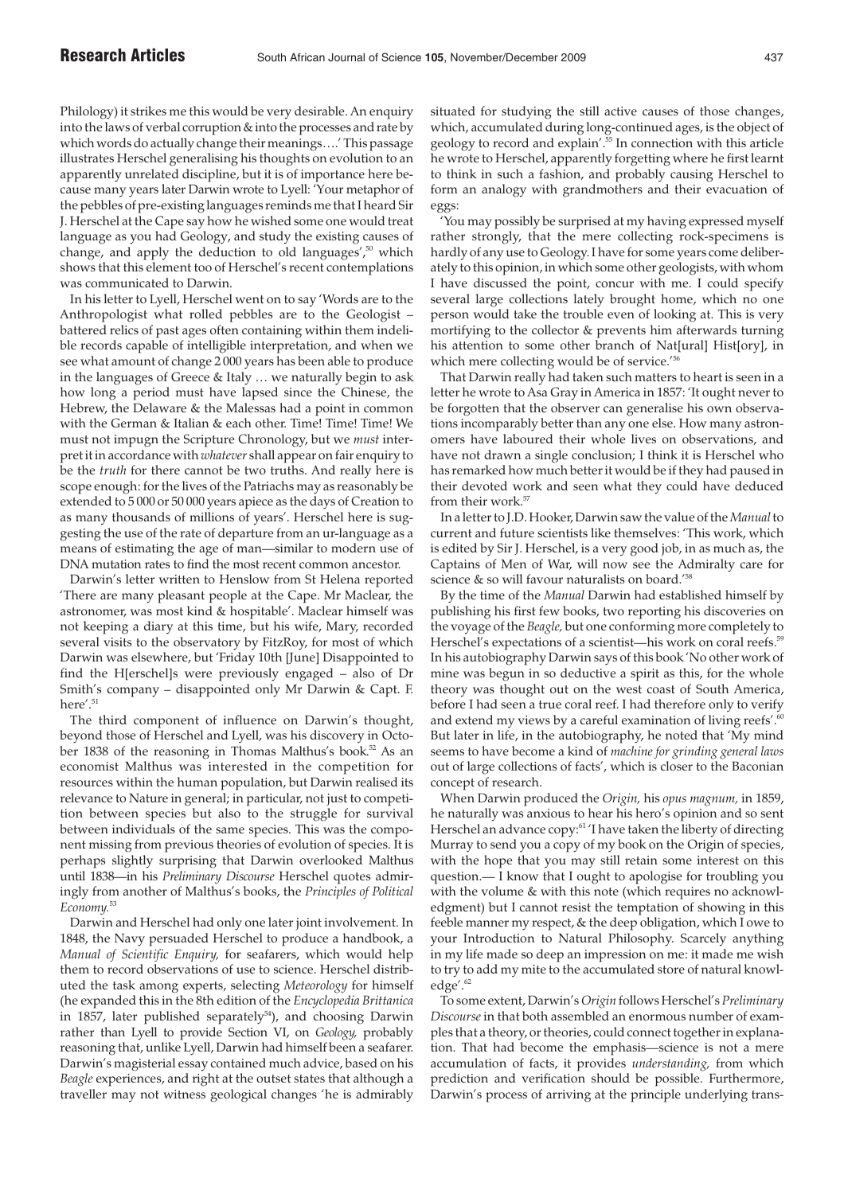Philology) it strikes me this would be very desirable. An enquiry into the laws of verbal corruption & into the processes and rate by which words do actually change their meanings….' This passage illustrates Herschel generalising his thoughts on evolution to an apparently unrelated discipline, but it is of importance here because many years later Darwin wrote to Lyell: 'Your metaphor of the pebbles of pre-existing languages reminds me that I heard Sir J. Herschel at the Cape say how he wished some one would treat language as you had Geology, and study the existing causes of change, and apply the deduction to old languages',<sup>50</sup> which shows that this element too of Herschel's recent contemplations was communicated to Darwin.

In his letter to Lyell, Herschel went on to say 'Words are to the Anthropologist what rolled pebbles are to the Geologist – battered relics of past ages often containing within them indelible records capable of intelligible interpretation, and when we see what amount of change 2 000 years has been able to produce in the languages of Greece & Italy … we naturally begin to ask how long a period must have lapsed since the Chinese, the Hebrew, the Delaware & the Malessas had a point in common with the German & Italian & each other. Time! Time! Time! We must not impugn the Scripture Chronology, but we *must* interpret it in accordance with *whatever* shall appear on fair enquiry to be the *truth* for there cannot be two truths. And really here is scope enough: for the lives of the Patriachs may as reasonably be extended to 5 000 or 50 000 years apiece as the days of Creation to as many thousands of millions of years'. Herschel here is suggesting the use of the rate of departure from an ur-language as a means of estimating the age of man—similar to modern use of DNA mutation rates to find the most recent common ancestor.

Darwin's letter written to Henslow from St Helena reported 'There are many pleasant people at the Cape. Mr Maclear, the astronomer, was most kind & hospitable'. Maclear himself was not keeping a diary at this time, but his wife, Mary, recorded several visits to the observatory by FitzRoy, for most of which Darwin was elsewhere, but 'Friday 10th [June] Disappointed to find the H[erschel]s were previously engaged – also of Dr Smith's company – disappointed only Mr Darwin & Capt. F. here'.<sup>51</sup>

The third component of influence on Darwin's thought, beyond those of Herschel and Lyell, was his discovery in October 1838 of the reasoning in Thomas Malthus's book.<sup>52</sup> As an economist Malthus was interested in the competition for resources within the human population, but Darwin realised its relevance to Nature in general; in particular, not just to competition between species but also to the struggle for survival between individuals of the same species. This was the component missing from previous theories of evolution of species. It is perhaps slightly surprising that Darwin overlooked Malthus until 1838—in his *Preliminary Discourse* Herschel quotes admiringly from another of Malthus's books, the *Principles of Political Economy.*<sup>53</sup>

Darwin and Herschel had only one later joint involvement. In 1848, the Navy persuaded Herschel to produce a handbook, a *Manual of Scientific Enquiry,* for seafarers, which would help them to record observations of use to science. Herschel distributed the task among experts, selecting *Meteorology* for himself (he expanded this in the 8th edition of the *Encyclopedia Brittanica* in 1857, later published separately<sup>54</sup>), and choosing Darwin rather than Lyell to provide Section VI, on *Geology,* probably reasoning that, unlike Lyell, Darwin had himself been a seafarer. Darwin's magisterial essay contained much advice, based on his *Beagle* experiences, and right at the outset states that although a traveller may not witness geological changes 'he is admirably situated for studying the still active causes of those changes, which, accumulated during long-continued ages, is the object of geology to record and explain'.55 In connection with this article he wrote to Herschel, apparently forgetting where he first learnt to think in such a fashion, and probably causing Herschel to form an analogy with grandmothers and their evacuation of eggs:

'You may possibly be surprised at my having expressed myself rather strongly, that the mere collecting rock-specimens is hardly of any use to Geology. I have for some years come deliberately to this opinion, in which some other geologists, with whom I have discussed the point, concur with me. I could specify several large collections lately brought home, which no one person would take the trouble even of looking at. This is very mortifying to the collector & prevents him afterwards turning his attention to some other branch of Nat[ural] Hist[ory], in which mere collecting would be of service.<sup>'56</sup>

That Darwin really had taken such matters to heart is seen in a letter he wrote to Asa Gray in America in 1857: 'It ought never to be forgotten that the observer can generalise his own observations incomparably better than any one else. How many astronomers have laboured their whole lives on observations, and have not drawn a single conclusion; I think it is Herschel who has remarked how much better it would be if they had paused in their devoted work and seen what they could have deduced from their work.<sup>57</sup>

In a letter to J.D. Hooker, Darwin saw the value of the*Manual*to current and future scientists like themselves: 'This work, which is edited by Sir J. Herschel, is a very good job, in as much as, the Captains of Men of War, will now see the Admiralty care for science & so will favour naturalists on board.'58

By the time of the *Manual* Darwin had established himself by publishing his first few books, two reporting his discoveries on the voyage of the *Beagle,* but one conforming more completely to Herschel's expectations of a scientist—his work on coral reefs.<sup>59</sup> In his autobiography Darwin says of this book 'No other work of mine was begun in so deductive a spirit as this, for the whole theory was thought out on the west coast of South America, before I had seen a true coral reef. I had therefore only to verify and extend my views by a careful examination of living reefs'.<sup>60</sup> But later in life, in the autobiography, he noted that 'My mind seems to have become a kind of *machine for grinding general laws* out of large collections of facts', which is closer to the Baconian concept of research.

When Darwin produced the *Origin,* his *opus magnum,* in 1859, he naturally was anxious to hear his hero's opinion and so sent Herschel an advance copy:<sup>61</sup> 'I have taken the liberty of directing Murray to send you a copy of my book on the Origin of species, with the hope that you may still retain some interest on this question.— I know that I ought to apologise for troubling you with the volume & with this note (which requires no acknowledgment) but I cannot resist the temptation of showing in this feeble manner my respect, & the deep obligation, which I owe to your Introduction to Natural Philosophy. Scarcely anything in my life made so deep an impression on me: it made me wish to try to add my mite to the accumulated store of natural knowledge'.<sup>62</sup>

To some extent, Darwin's *Origin* follows Herschel's *Preliminary Discourse* in that both assembled an enormous number of examples that a theory, or theories, could connect together in explanation. That had become the emphasis—science is not a mere accumulation of facts, it provides *understanding,* from which prediction and verification should be possible. Furthermore, Darwin's process of arriving at the principle underlying trans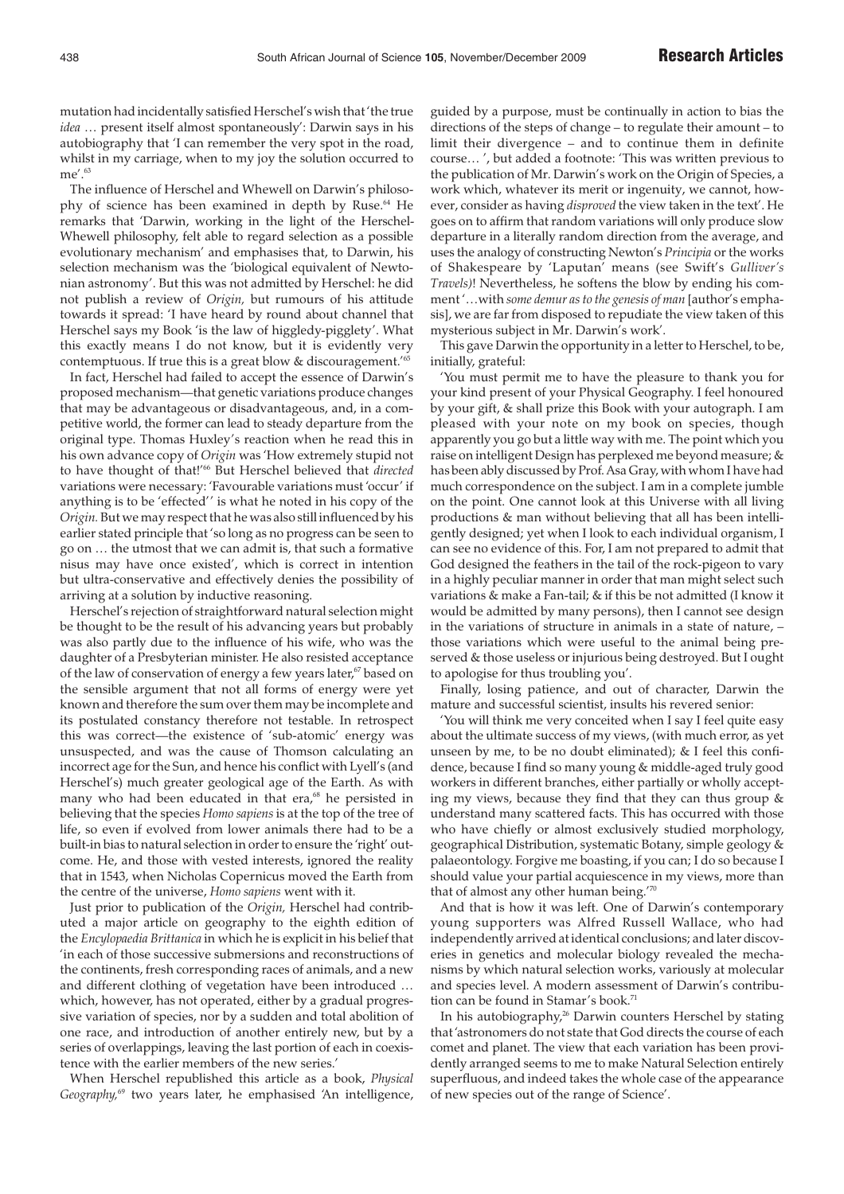mutation had incidentally satisfied Herschel's wish that 'the true *idea* … present itself almost spontaneously': Darwin says in his autobiography that 'I can remember the very spot in the road, whilst in my carriage, when to my joy the solution occurred to  $me'.^{63}$ 

The influence of Herschel and Whewell on Darwin's philosophy of science has been examined in depth by Ruse.<sup>64</sup> He remarks that 'Darwin, working in the light of the Herschel-Whewell philosophy, felt able to regard selection as a possible evolutionary mechanism' and emphasises that, to Darwin, his selection mechanism was the 'biological equivalent of Newtonian astronomy'. But this was not admitted by Herschel: he did not publish a review of *Origin,* but rumours of his attitude towards it spread: 'I have heard by round about channel that Herschel says my Book 'is the law of higgledy-pigglety'. What this exactly means I do not know, but it is evidently very contemptuous. If true this is a great blow & discouragement.'65

In fact, Herschel had failed to accept the essence of Darwin's proposed mechanism—that genetic variations produce changes that may be advantageous or disadvantageous, and, in a competitive world, the former can lead to steady departure from the original type. Thomas Huxley's reaction when he read this in his own advance copy of *Origin* was 'How extremely stupid not to have thought of that!'66 But Herschel believed that *directed* variations were necessary: 'Favourable variations must 'occur' if anything is to be 'effected'' is what he noted in his copy of the *Origin.*But we may respect that he was also still influenced by his earlier stated principle that 'so long as no progress can be seen to go on … the utmost that we can admit is, that such a formative nisus may have once existed', which is correct in intention but ultra-conservative and effectively denies the possibility of arriving at a solution by inductive reasoning.

Herschel's rejection of straightforward natural selection might be thought to be the result of his advancing years but probably was also partly due to the influence of his wife, who was the daughter of a Presbyterian minister. He also resisted acceptance of the law of conservation of energy a few years later,<sup>67</sup> based on the sensible argument that not all forms of energy were yet known and therefore the sum over them may be incomplete and its postulated constancy therefore not testable. In retrospect this was correct—the existence of 'sub-atomic' energy was unsuspected, and was the cause of Thomson calculating an incorrect age for the Sun, and hence his conflict with Lyell's (and Herschel's) much greater geological age of the Earth. As with many who had been educated in that era,<sup>68</sup> he persisted in believing that the species *Homo sapiens* is at the top of the tree of life, so even if evolved from lower animals there had to be a built-in bias to natural selection in order to ensure the 'right' outcome. He, and those with vested interests, ignored the reality that in 1543, when Nicholas Copernicus moved the Earth from the centre of the universe, *Homo sapiens* went with it.

Just prior to publication of the *Origin,* Herschel had contributed a major article on geography to the eighth edition of the *Encylopaedia Brittanica* in which he is explicit in his belief that 'in each of those successive submersions and reconstructions of the continents, fresh corresponding races of animals, and a new and different clothing of vegetation have been introduced … which, however, has not operated, either by a gradual progressive variation of species, nor by a sudden and total abolition of one race, and introduction of another entirely new, but by a series of overlappings, leaving the last portion of each in coexistence with the earlier members of the new series.'

When Herschel republished this article as a book, *Physical Geography,*<sup>69</sup> two years later, he emphasised 'An intelligence, guided by a purpose, must be continually in action to bias the directions of the steps of change – to regulate their amount – to limit their divergence – and to continue them in definite course… ', but added a footnote: 'This was written previous to the publication of Mr. Darwin's work on the Origin of Species, a work which, whatever its merit or ingenuity, we cannot, however, consider as having *disproved* the view taken in the text'. He goes on to affirm that random variations will only produce slow departure in a literally random direction from the average, and uses the analogy of constructing Newton's *Principia* or the works of Shakespeare by 'Laputan' means (see Swift's *Gulliver's Travels)*! Nevertheless, he softens the blow by ending his comment '…with *some demur as to the genesis of man* [author's emphasis], we are far from disposed to repudiate the view taken of this mysterious subject in Mr. Darwin's work'.

This gave Darwin the opportunity in a letter to Herschel, to be, initially, grateful:

'You must permit me to have the pleasure to thank you for your kind present of your Physical Geography. I feel honoured by your gift, & shall prize this Book with your autograph. I am pleased with your note on my book on species, though apparently you go but a little way with me. The point which you raise on intelligent Design has perplexed me beyond measure; & has been ably discussed by Prof. Asa Gray, with whom I have had much correspondence on the subject. I am in a complete jumble on the point. One cannot look at this Universe with all living productions & man without believing that all has been intelligently designed; yet when I look to each individual organism, I can see no evidence of this. For, I am not prepared to admit that God designed the feathers in the tail of the rock-pigeon to vary in a highly peculiar manner in order that man might select such variations & make a Fan-tail; & if this be not admitted (I know it would be admitted by many persons), then I cannot see design in the variations of structure in animals in a state of nature, – those variations which were useful to the animal being preserved & those useless or injurious being destroyed. But I ought to apologise for thus troubling you'.

Finally, losing patience, and out of character, Darwin the mature and successful scientist, insults his revered senior:

'You will think me very conceited when I say I feel quite easy about the ultimate success of my views, (with much error, as yet unseen by me, to be no doubt eliminated); & I feel this confidence, because I find so many young & middle-aged truly good workers in different branches, either partially or wholly accepting my views, because they find that they can thus group & understand many scattered facts. This has occurred with those who have chiefly or almost exclusively studied morphology, geographical Distribution, systematic Botany, simple geology & palaeontology. Forgive me boasting, if you can; I do so because I should value your partial acquiescence in my views, more than that of almost any other human being.'70

And that is how it was left. One of Darwin's contemporary young supporters was Alfred Russell Wallace, who had independently arrived at identical conclusions; and later discoveries in genetics and molecular biology revealed the mechanisms by which natural selection works, variously at molecular and species level. A modern assessment of Darwin's contribution can be found in Stamar's book.<sup>71</sup>

In his autobiography,<sup>26</sup> Darwin counters Herschel by stating that 'astronomers do not state that God directs the course of each comet and planet. The view that each variation has been providently arranged seems to me to make Natural Selection entirely superfluous, and indeed takes the whole case of the appearance of new species out of the range of Science'.